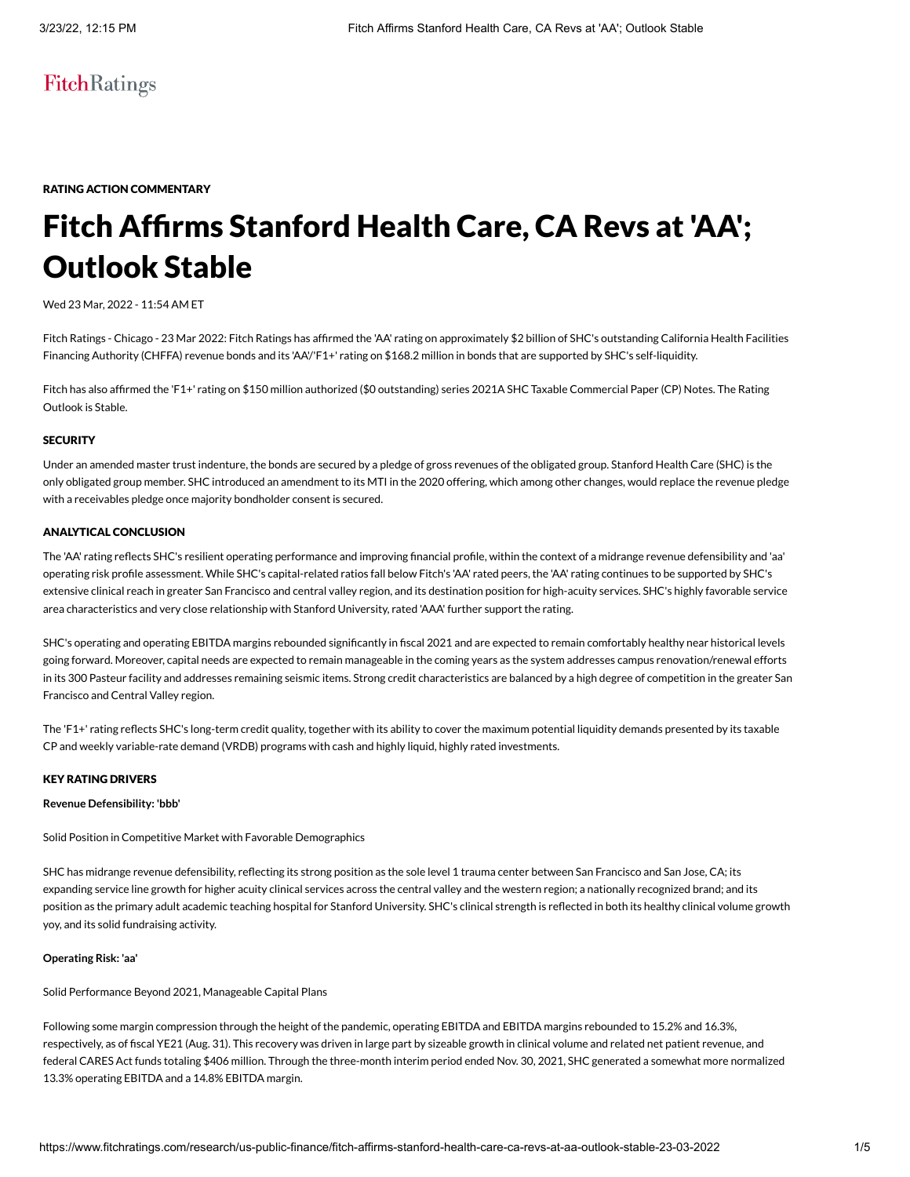## FitchRatings

RATING ACTION COMMENTARY

# Fitch Affirms Stanford Health Care, CA Revs at 'AA'; Outlook Stable

#### Wed 23 Mar, 2022 - 11:54 AM ET

Fitch Ratings - Chicago - 23 Mar 2022: Fitch Ratings has affirmed the 'AA' rating on approximately \$2 billion of SHC's outstanding California Health Facilities Financing Authority (CHFFA) revenue bonds and its 'AA'/'F1+' rating on \$168.2 million in bonds that are supported by SHC's self-liquidity.

Fitch has also affirmed the 'F1+' rating on \$150 million authorized (\$0 outstanding) series 2021A SHC Taxable Commercial Paper (CP) Notes. The Rating Outlook is Stable.

#### **SECURITY**

Under an amended master trust indenture, the bonds are secured by a pledge of gross revenues of the obligated group. Stanford Health Care (SHC) is the only obligated group member. SHC introduced an amendment to its MTI in the 2020 offering, which among other changes, would replace the revenue pledge with a receivables pledge once majority bondholder consent is secured.

#### ANALYTICAL CONCLUSION

The 'AA' rating reflects SHC's resilient operating performance and improving financial profile, within the context of a midrange revenue defensibility and 'aa' operating risk profile assessment. While SHC's capital-related ratios fall below Fitch's 'AA' rated peers, the 'AA' rating continues to be supported by SHC's extensive clinical reach in greater San Francisco and central valley region, and its destination position for high-acuity services. SHC's highly favorable service area characteristics and very close relationship with Stanford University, rated 'AAA' further support the rating.

SHC's operating and operating EBITDA margins rebounded significantly in fiscal 2021 and are expected to remain comfortably healthy near historical levels going forward. Moreover, capital needs are expected to remain manageable in the coming years as the system addresses campus renovation/renewal efforts in its 300 Pasteur facility and addresses remaining seismic items. Strong credit characteristics are balanced by a high degree of competition in the greater San Francisco and Central Valley region.

The 'F1+' rating reflects SHC's long-term credit quality, together with its ability to cover the maximum potential liquidity demands presented by its taxable CP and weekly variable-rate demand (VRDB) programs with cash and highly liquid, highly rated investments.

#### KEY RATING DRIVERS

#### **Revenue Defensibility: 'bbb'**

Solid Position in Competitive Market with Favorable Demographics

SHC has midrange revenue defensibility, reflecting its strong position as the sole level 1 trauma center between San Francisco and San Jose, CA; its expanding service line growth for higher acuity clinical services across the central valley and the western region; a nationally recognized brand; and its position as the primary adult academic teaching hospital for Stanford University. SHC's clinical strength is reflected in both its healthy clinical volume growth yoy, and its solid fundraising activity.

#### **Operating Risk: 'aa'**

Solid Performance Beyond 2021, Manageable Capital Plans

Following some margin compression through the height of the pandemic, operating EBITDA and EBITDA margins rebounded to 15.2% and 16.3%, respectively, as of fiscal YE21 (Aug. 31). This recovery was driven in large part by sizeable growth in clinical volume and related net patient revenue, and federal CARES Act funds totaling \$406 million. Through the three-month interim period ended Nov. 30, 2021, SHC generated a somewhat more normalized 13.3% operating EBITDA and a 14.8% EBITDA margin.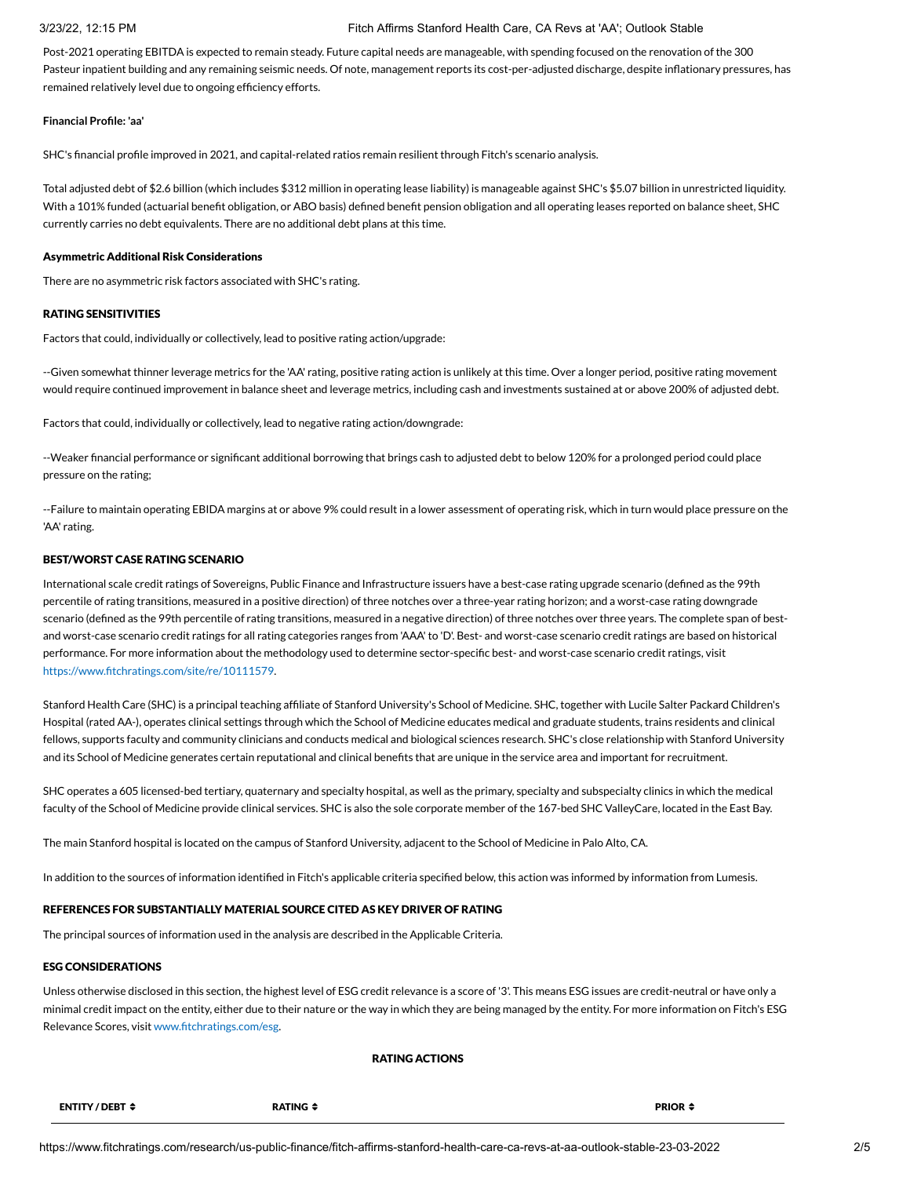#### 3/23/22, 12:15 PM Fitch Affirms Stanford Health Care, CA Revs at 'AA'; Outlook Stable

Post-2021 operating EBITDA is expected to remain steady. Future capital needs are manageable, with spending focused on the renovation of the 300 Pasteur inpatient building and any remaining seismic needs. Of note, management reports its cost-per-adjusted discharge, despite inflationary pressures, has remained relatively level due to ongoing efficiency efforts.

#### **Financial Profile: 'aa'**

SHC's financial profile improved in 2021, and capital-related ratios remain resilient through Fitch's scenario analysis.

Total adjusted debt of \$2.6 billion (which includes \$312 million in operating lease liability) is manageable against SHC's \$5.07 billion in unrestricted liquidity. With a 101% funded (actuarial benefit obligation, or ABO basis) defined benefit pension obligation and all operating leases reported on balance sheet, SHC currently carries no debt equivalents. There are no additional debt plans at this time.

#### Asymmetric Additional Risk Considerations

There are no asymmetric risk factors associated with SHC's rating.

#### RATING SENSITIVITIES

Factors that could, individually or collectively, lead to positive rating action/upgrade:

--Given somewhat thinner leverage metrics for the 'AA' rating, positive rating action is unlikely at this time. Over a longer period, positive rating movement would require continued improvement in balance sheet and leverage metrics, including cash and investments sustained at or above 200% of adjusted debt.

Factors that could, individually or collectively, lead to negative rating action/downgrade:

--Weaker financial performance or significant additional borrowing that brings cash to adjusted debt to below 120% for a prolonged period could place pressure on the rating;

--Failure to maintain operating EBIDA margins at or above 9% could result in a lower assessment of operating risk, which in turn would place pressure on the 'AA' rating.

#### BEST/WORST CASE RATING SCENARIO

International scale credit ratings of Sovereigns, Public Finance and Infrastructure issuers have a best-case rating upgrade scenario (defined as the 99th percentile of rating transitions, measured in a positive direction) of three notches over a three-year rating horizon; and a worst-case rating downgrade scenario (defined as the 99th percentile of rating transitions, measured in a negative direction) of three notches over three years. The complete span of bestand worst-case scenario credit ratings for all rating categories ranges from 'AAA' to 'D'. Best- and worst-case scenario credit ratings are based on historical performance. For more information about the methodology used to determine sector-specific best- and worst-case scenario credit ratings, visit [https://www.fitchratings.com/site/re/10111579.](https://www.fitchratings.com/site/re/10111579)

Stanford Health Care (SHC) is a principal teaching affiliate of Stanford University's School of Medicine. SHC, together with Lucile Salter Packard Children's Hospital (rated AA-), operates clinical settings through which the School of Medicine educates medical and graduate students, trains residents and clinical fellows, supports faculty and community clinicians and conducts medical and biological sciences research. SHC's close relationship with Stanford University and its School of Medicine generates certain reputational and clinical benefits that are unique in the service area and important for recruitment.

SHC operates a 605 licensed-bed tertiary, quaternary and specialty hospital, as well as the primary, specialty and subspecialty clinics in which the medical faculty of the School of Medicine provide clinical services. SHC is also the sole corporate member of the 167-bed SHC ValleyCare, located in the East Bay.

The main Stanford hospital is located on the campus of Stanford University, adjacent to the School of Medicine in Palo Alto, CA.

In addition to the sources of information identified in Fitch's applicable criteria specified below, this action was informed by information from Lumesis.

#### REFERENCES FOR SUBSTANTIALLY MATERIAL SOURCE CITED AS KEY DRIVER OF RATING

The principal sources of information used in the analysis are described in the Applicable Criteria.

#### ESG CONSIDERATIONS

Unless otherwise disclosed in this section, the highest level of ESG credit relevance is a score of '3'. This means ESG issues are credit-neutral or have only a minimal credit impact on the entity, either due to their nature or the way in which they are being managed by the entity. For more information on Fitch's ESG Relevance Scores, visit [www.fitchratings.com/esg.](http://www.fitchratings.com/esg)

#### RATING ACTIONS

| ENTITY / DEBT ≑ | <b>RATING</b> | <b>PRIOR</b> |
|-----------------|---------------|--------------|
|                 |               |              |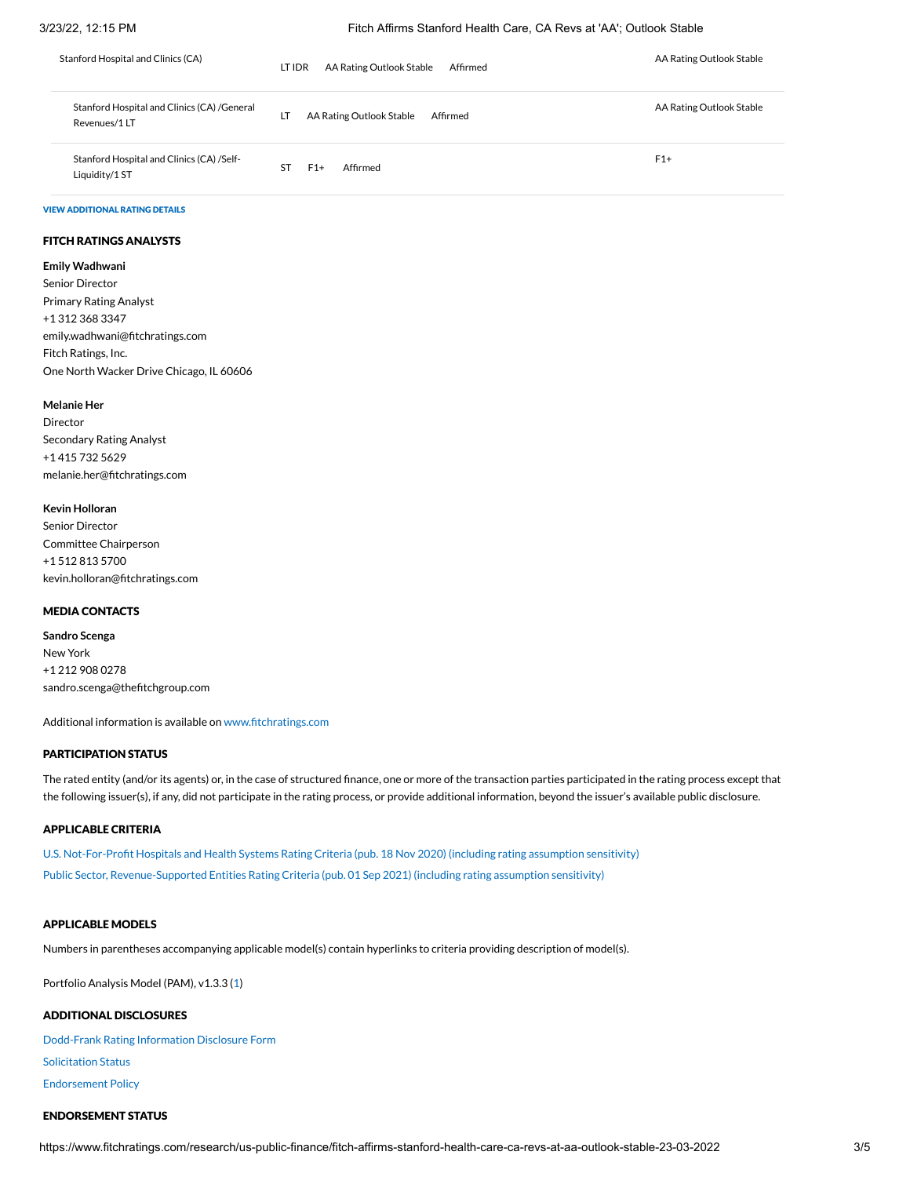#### 3/23/22, 12:15 PM Fitch Affirms Stanford Health Care, CA Revs at 'AA'; Outlook Stable

| Stanford Hospital and Clinics (CA)                          | AA Rating Outlook Stable<br>LT IDR<br>Affirmed | AA Rating Outlook Stable |
|-------------------------------------------------------------|------------------------------------------------|--------------------------|
| Stanford Hospital and Clinics (CA) /General<br>Revenues/1LT | LT<br>AA Rating Outlook Stable<br>Affirmed     | AA Rating Outlook Stable |
| Stanford Hospital and Clinics (CA) /Self-<br>Liquidity/1 ST | ST<br>Affirmed<br>$F1+$                        | $F1+$                    |

#### VIEW ADDITIONAL RATING DETAILS

#### FITCH RATINGS ANALYSTS

**Emily Wadhwani** Senior Director Primary Rating Analyst +1 312 368 3347 emily.wadhwani@fitchratings.com Fitch Ratings, Inc. One North Wacker Drive Chicago, IL 60606

#### **Melanie Her**

Director Secondary Rating Analyst +1 415 732 5629 melanie.her@fitchratings.com

#### **Kevin Holloran**

| Senior Director                 |
|---------------------------------|
| Committee Chairperson           |
| +1 512 813 5700                 |
| kevin.holloran@fitchratings.com |

#### MEDIA CONTACTS

**Sandro Scenga** New York +1 212 908 0278 sandro.scenga@thefitchgroup.com

Additional information is available on [www.fitchratings.com](http://www.fitchratings.com/)

#### PARTICIPATION STATUS

The rated entity (and/or its agents) or, in the case of structured finance, one or more of the transaction parties participated in the rating process except that the following issuer(s), if any, did not participate in the rating process, or provide additional information, beyond the issuer's available public disclosure.

#### APPLICABLE CRITERIA

U.S. [Not-For-Profit](https://www.fitchratings.com/research/us-public-finance/us-not-for-profit-hospitals-health-systems-rating-criteria-18-11-2020) Hospitals and Health Systems Rating Criteria (pub. 18 Nov 2020) (including rating assumption sensitivity) Public Sector, [Revenue-Supported Entities](https://www.fitchratings.com/research/us-public-finance/public-sector-revenue-supported-entities-rating-criteria-01-09-2021) Rating Criteria (pub. 01 Sep 2021) (including rating assumption sensitivity)

#### APPLICABLE MODELS

Numbers in parentheses accompanying applicable model(s) contain hyperlinks to criteria providing description of model(s).

Portfolio Analysis Model (PAM), v1.3.3 [\(1\)](https://www.fitchratings.com/research/us-public-finance/public-sector-revenue-supported-entities-rating-criteria-01-09-2021)

#### ADDITIONAL DISCLOSURES

[Dodd-Frank](https://www.fitchratings.com/research/us-public-finance/fitch-affirms-stanford-health-care-ca-revs-at-aa-outlook-stable-23-03-2022/dodd-frank-disclosure) Rating Information Disclosure Form Solicitation Status [Endorsement](#page-4-0) Policy

#### ENDORSEMENT STATUS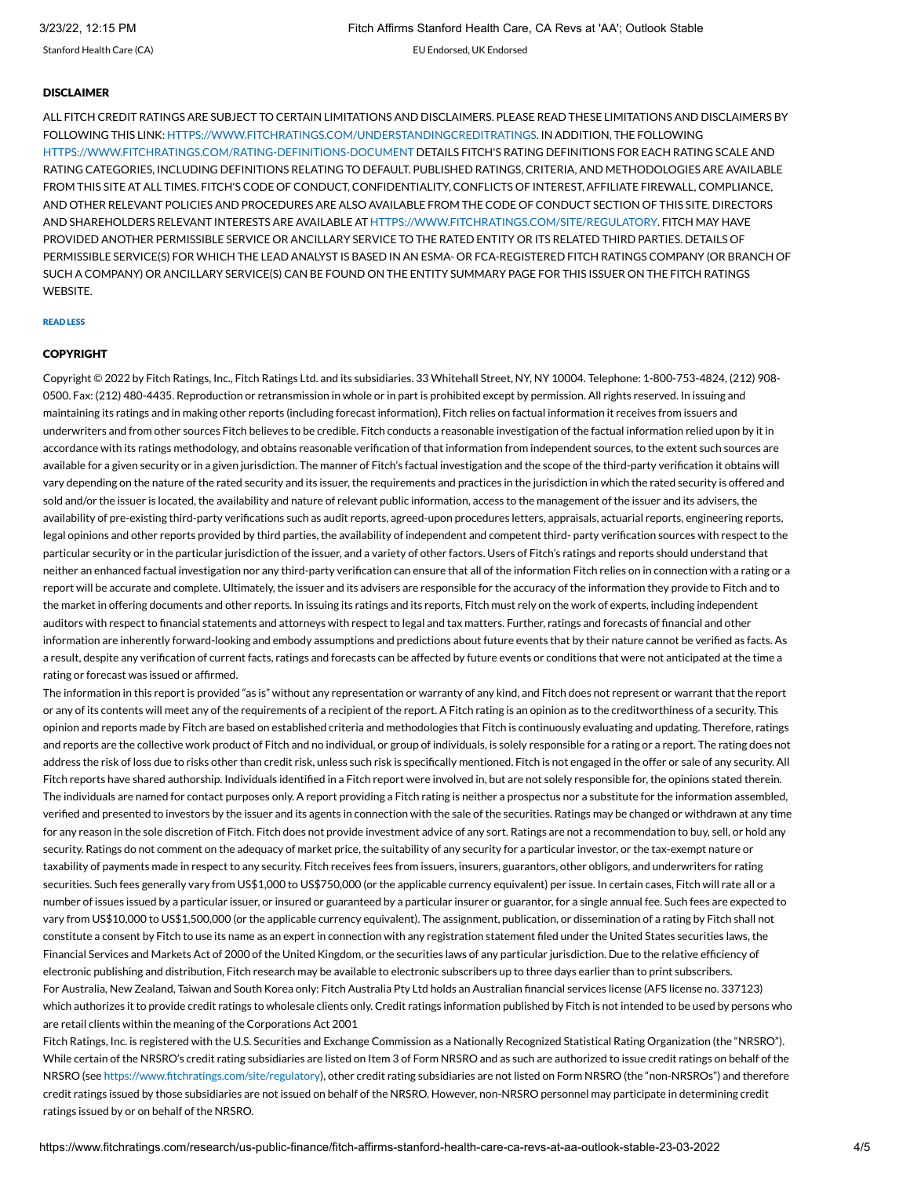Stanford Health Care (CA) EU Endorsed, UK Endorsed

#### **DISCLAIMER**

ALL FITCH CREDIT RATINGS ARE SUBJECT TO CERTAIN LIMITATIONS AND DISCLAIMERS. PLEASE READ THESE LIMITATIONS AND DISCLAIMERS BY FOLLOWING THIS LINK: [HTTPS://WWW.FITCHRATINGS.COM/UNDERSTANDINGCREDITRATINGS.](https://www.fitchratings.com/UNDERSTANDINGCREDITRATINGS) IN ADDITION, THE FOLLOWING [HTTPS://WWW.FITCHRATINGS.COM/RATING-DEFINITIONS-DOCUMENT](https://www.fitchratings.com/rating-definitions-document) DETAILS FITCH'S RATING DEFINITIONS FOR EACH RATING SCALE AND RATING CATEGORIES, INCLUDING DEFINITIONS RELATING TO DEFAULT. PUBLISHED RATINGS, CRITERIA, AND METHODOLOGIES ARE AVAILABLE FROM THIS SITE AT ALL TIMES. FITCH'S CODE OF CONDUCT, CONFIDENTIALITY, CONFLICTS OF INTEREST, AFFILIATE FIREWALL, COMPLIANCE, AND OTHER RELEVANT POLICIES AND PROCEDURES ARE ALSO AVAILABLE FROM THE CODE OF CONDUCT SECTION OF THIS SITE. DIRECTORS AND SHAREHOLDERS RELEVANT INTERESTS ARE AVAILABLE AT [HTTPS://WWW.FITCHRATINGS.COM/SITE/REGULATORY](https://www.fitchratings.com/site/regulatory). FITCH MAY HAVE PROVIDED ANOTHER PERMISSIBLE SERVICE OR ANCILLARY SERVICE TO THE RATED ENTITY OR ITS RELATED THIRD PARTIES. DETAILS OF PERMISSIBLE SERVICE(S) FOR WHICH THE LEAD ANALYST IS BASED IN AN ESMA- OR FCA-REGISTERED FITCH RATINGS COMPANY (OR BRANCH OF SUCH A COMPANY) OR ANCILLARY SERVICE(S) CAN BE FOUND ON THE ENTITY SUMMARY PAGE FOR THIS ISSUER ON THE FITCH RATINGS WEBSITE.

#### READ LESS

#### **COPYRIGHT**

Copyright © 2022 by Fitch Ratings, Inc., Fitch Ratings Ltd. and its subsidiaries. 33 Whitehall Street, NY, NY 10004. Telephone: 1-800-753-4824, (212) 908- 0500. Fax: (212) 480-4435. Reproduction or retransmission in whole or in part is prohibited except by permission. All rights reserved. In issuing and maintaining its ratings and in making other reports (including forecast information), Fitch relies on factual information it receives from issuers and underwriters and from other sources Fitch believes to be credible. Fitch conducts a reasonable investigation of the factual information relied upon by it in accordance with its ratings methodology, and obtains reasonable verification of that information from independent sources, to the extent such sources are available for a given security or in a given jurisdiction. The manner of Fitch's factual investigation and the scope of the third-party verification it obtains will vary depending on the nature of the rated security and its issuer, the requirements and practices in the jurisdiction in which the rated security is offered and sold and/or the issuer is located, the availability and nature of relevant public information, access to the management of the issuer and its advisers, the availability of pre-existing third-party verifications such as audit reports, agreed-upon procedures letters, appraisals, actuarial reports, engineering reports, legal opinions and other reports provided by third parties, the availability of independent and competent third- party verification sources with respect to the particular security or in the particular jurisdiction of the issuer, and a variety of other factors. Users of Fitch's ratings and reports should understand that neither an enhanced factual investigation nor any third-party verification can ensure that all of the information Fitch relies on in connection with a rating or a report will be accurate and complete. Ultimately, the issuer and its advisers are responsible for the accuracy of the information they provide to Fitch and to the market in offering documents and other reports. In issuing its ratings and its reports, Fitch must rely on the work of experts, including independent auditors with respect to financial statements and attorneys with respect to legal and tax matters. Further, ratings and forecasts of financial and other information are inherently forward-looking and embody assumptions and predictions about future events that by their nature cannot be verified as facts. As a result, despite any verification of current facts, ratings and forecasts can be affected by future events or conditions that were not anticipated at the time a rating or forecast was issued or affirmed.

The information in this report is provided "as is" without any representation or warranty of any kind, and Fitch does not represent or warrant that the report or any of its contents will meet any of the requirements of a recipient of the report. A Fitch rating is an opinion as to the creditworthiness of a security. This opinion and reports made by Fitch are based on established criteria and methodologies that Fitch is continuously evaluating and updating. Therefore, ratings and reports are the collective work product of Fitch and no individual, or group of individuals, is solely responsible for a rating or a report. The rating does not address the risk of loss due to risks other than credit risk, unless such risk is specifically mentioned. Fitch is not engaged in the offer or sale of any security. All Fitch reports have shared authorship. Individuals identified in a Fitch report were involved in, but are not solely responsible for, the opinions stated therein. The individuals are named for contact purposes only. A report providing a Fitch rating is neither a prospectus nor a substitute for the information assembled, verified and presented to investors by the issuer and its agents in connection with the sale of the securities. Ratings may be changed or withdrawn at any time for any reason in the sole discretion of Fitch. Fitch does not provide investment advice of any sort. Ratings are not a recommendation to buy, sell, or hold any security. Ratings do not comment on the adequacy of market price, the suitability of any security for a particular investor, or the tax-exempt nature or taxability of payments made in respect to any security. Fitch receives fees from issuers, insurers, guarantors, other obligors, and underwriters for rating securities. Such fees generally vary from US\$1,000 to US\$750,000 (or the applicable currency equivalent) per issue. In certain cases, Fitch will rate all or a number of issues issued by a particular issuer, or insured or guaranteed by a particular insurer or guarantor, for a single annual fee. Such fees are expected to vary from US\$10,000 to US\$1,500,000 (or the applicable currency equivalent). The assignment, publication, or dissemination of a rating by Fitch shall not constitute a consent by Fitch to use its name as an expert in connection with any registration statement filed under the United States securities laws, the Financial Services and Markets Act of 2000 of the United Kingdom, or the securities laws of any particular jurisdiction. Due to the relative efficiency of electronic publishing and distribution, Fitch research may be available to electronic subscribers up to three days earlier than to print subscribers. For Australia, New Zealand, Taiwan and South Korea only: Fitch Australia Pty Ltd holds an Australian financial services license (AFS license no. 337123) which authorizes it to provide credit ratings to wholesale clients only. Credit ratings information published by Fitch is not intended to be used by persons who are retail clients within the meaning of the Corporations Act 2001

Fitch Ratings, Inc. is registered with the U.S. Securities and Exchange Commission as a Nationally Recognized Statistical Rating Organization (the "NRSRO"). While certain of the NRSRO's credit rating subsidiaries are listed on Item 3 of Form NRSRO and as such are authorized to issue credit ratings on behalf of the NRSRO (see [https://www.fitchratings.com/site/regulatory\)](https://www.fitchratings.com/site/regulatory), other credit rating subsidiaries are not listed on Form NRSRO (the "non-NRSROs") and therefore credit ratings issued by those subsidiaries are not issued on behalf of the NRSRO. However, non-NRSRO personnel may participate in determining credit ratings issued by or on behalf of the NRSRO.